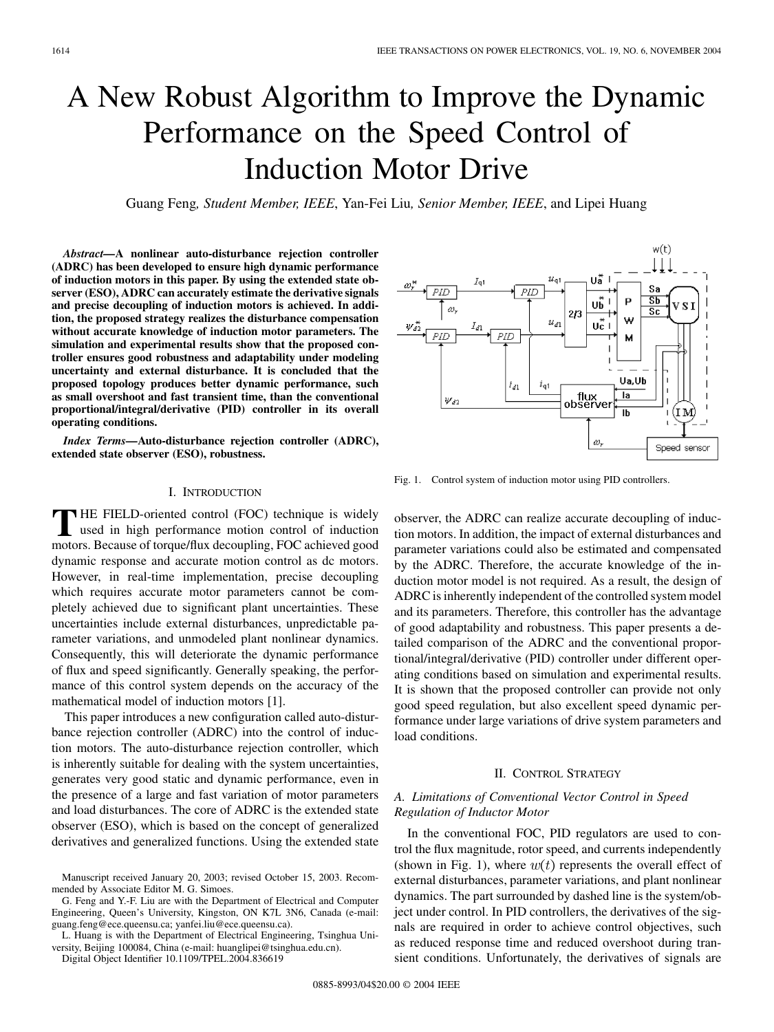# A New Robust Algorithm to Improve the Dynamic Performance on the Speed Control of Induction Motor Drive

Guang Feng*, Student Member, IEEE*, Yan-Fei Liu*, Senior Member, IEEE*, and Lipei Huang

*Abstract—***A nonlinear auto-disturbance rejection controller (ADRC) has been developed to ensure high dynamic performance of induction motors in this paper. By using the extended state observer (ESO), ADRC can accurately estimate the derivative signals and precise decoupling of induction motors is achieved. In addition, the proposed strategy realizes the disturbance compensation without accurate knowledge of induction motor parameters. The simulation and experimental results show that the proposed controller ensures good robustness and adaptability under modeling uncertainty and external disturbance. It is concluded that the proposed topology produces better dynamic performance, such as small overshoot and fast transient time, than the conventional proportional/integral/derivative (PID) controller in its overall operating conditions.**

*Index Terms—***Auto-disturbance rejection controller (ADRC), extended state observer (ESO), robustness.**

## I. INTRODUCTION

**T** HE FIELD-oriented control (FOC) technique is widely used in high performance motion control of induction motors. Because of torque/flux decoupling, FOC achieved good dynamic response and accurate motion control as dc motors. However, in real-time implementation, precise decoupling which requires accurate motor parameters cannot be completely achieved due to significant plant uncertainties. These uncertainties include external disturbances, unpredictable parameter variations, and unmodeled plant nonlinear dynamics. Consequently, this will deteriorate the dynamic performance of flux and speed significantly. Generally speaking, the performance of this control system depends on the accuracy of the mathematical model of induction motors [\[1](#page-12-0)].

This paper introduces a new configuration called auto-disturbance rejection controller (ADRC) into the control of induction motors. The auto-disturbance rejection controller, which is inherently suitable for dealing with the system uncertainties, generates very good static and dynamic performance, even in the presence of a large and fast variation of motor parameters and load disturbances. The core of ADRC is the extended state observer (ESO), which is based on the concept of generalized derivatives and generalized functions. Using the extended state

G. Feng and Y.-F. Liu are with the Department of Electrical and Computer Engineering, Queen's University, Kingston, ON K7L 3N6, Canada (e-mail: guang.feng@ece.queensu.ca; yanfei.liu@ece.queensu.ca).

L. Huang is with the Department of Electrical Engineering, Tsinghua University, Beijing 100084, China (e-mail: huanglipei@tsinghua.edu.cn).

Digital Object Identifier 10.1109/TPEL.2004.836619

Uă  $I_{\mathsf{q}1}$ Sa  $PID$  $\overline{\mathbf{S}}$ P UĎ 'SI Sc  $2/3$ W  $\mathcal{U}_{d1}$ Uë l PID  $PLD$ М Ua,Ub  $i_{\sf d1}$  $i_{d1}$ la flu×  $\psi_{d2}$ observer (ІМ Ib  $\omega,$ Speed sensor

Fig. 1. Control system of induction motor using PID controllers.

observer, the ADRC can realize accurate decoupling of induction motors. In addition, the impact of external disturbances and parameter variations could also be estimated and compensated by the ADRC. Therefore, the accurate knowledge of the induction motor model is not required. As a result, the design of ADRC is inherently independent of the controlled system model and its parameters. Therefore, this controller has the advantage of good adaptability and robustness. This paper presents a detailed comparison of the ADRC and the conventional proportional/integral/derivative (PID) controller under different operating conditions based on simulation and experimental results. It is shown that the proposed controller can provide not only good speed regulation, but also excellent speed dynamic performance under large variations of drive system parameters and load conditions.

## II. CONTROL STRATEGY

# *A. Limitations of Conventional Vector Control in Speed Regulation of Inductor Motor*

In the conventional FOC, PID regulators are used to control the flux magnitude, rotor speed, and currents independently (shown in Fig. 1), where  $w(t)$  represents the overall effect of external disturbances, parameter variations, and plant nonlinear dynamics. The part surrounded by dashed line is the system/object under control. In PID controllers, the derivatives of the signals are required in order to achieve control objectives, such as reduced response time and reduced overshoot during transient conditions. Unfortunately, the derivatives of signals are



Manuscript received January 20, 2003; revised October 15, 2003. Recommended by Associate Editor M. G. Simoes.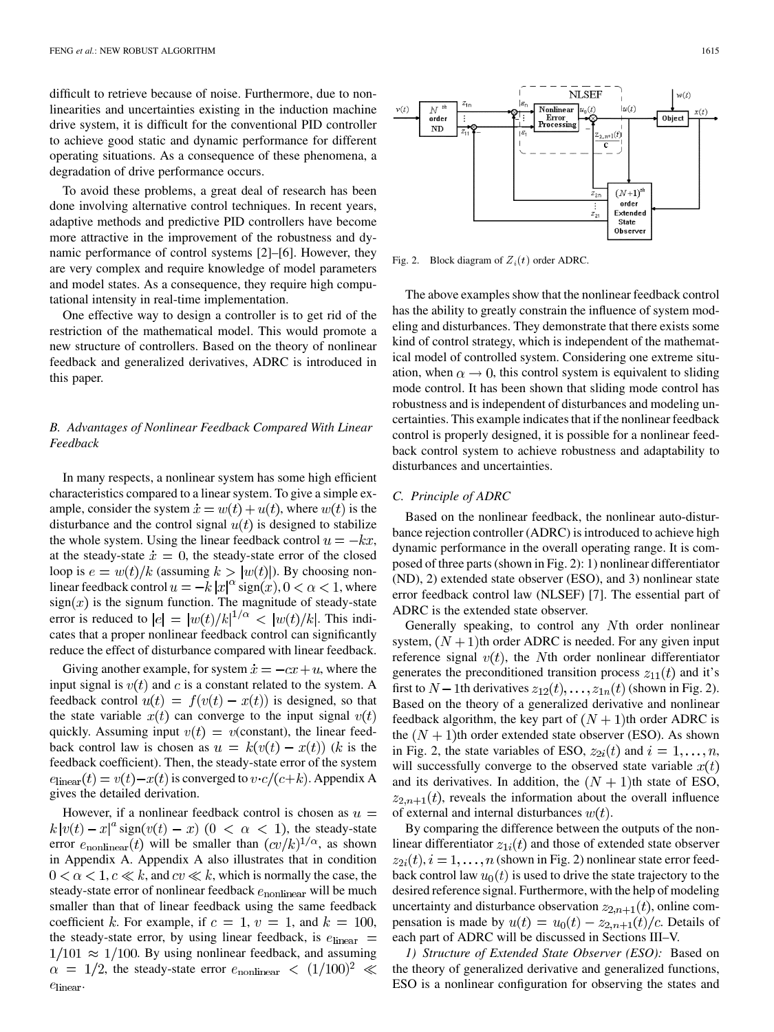difficult to retrieve because of noise. Furthermore, due to nonlinearities and uncertainties existing in the induction machine drive system, it is difficult for the conventional PID controller to achieve good static and dynamic performance for different operating situations. As a consequence of these phenomena, a degradation of drive performance occurs.

To avoid these problems, a great deal of research has been done involving alternative control techniques. In recent years, adaptive methods and predictive PID controllers have become more attractive in the improvement of the robustness and dynamic performance of control systems [\[2](#page-12-0)]–[[6\]](#page-12-0). However, they are very complex and require knowledge of model parameters and model states. As a consequence, they require high computational intensity in real-time implementation.

One effective way to design a controller is to get rid of the restriction of the mathematical model. This would promote a new structure of controllers. Based on the theory of nonlinear feedback and generalized derivatives, ADRC is introduced in this paper.

# *B. Advantages of Nonlinear Feedback Compared With Linear Feedback*

In many respects, a nonlinear system has some high efficient characteristics compared to a linear system. To give a simple example, consider the system  $\dot{x} = w(t) + u(t)$ , where  $w(t)$  is the disturbance and the control signal  $u(t)$  is designed to stabilize the whole system. Using the linear feedback control  $u = -kx$ , at the steady-state  $\dot{x} = 0$ , the steady-state error of the closed loop is  $e = \frac{w(t)}{k}$  (assuming  $k > |w(t)|$ ). By choosing nonlinear feedback control  $u = -k |x|^\alpha \text{sign}(x)$ ,  $0 < \alpha < 1$ , where  $sign(x)$  is the signum function. The magnitude of steady-state error is reduced to  $|e| = |w(t)/k|^{1/\alpha} < |w(t)/k|$ . This indicates that a proper nonlinear feedback control can significantly reduce the effect of disturbance compared with linear feedback.

Giving another example, for system  $\dot{x} = -cx + u$ , where the input signal is  $v(t)$  and c is a constant related to the system. A feedback control  $u(t) = f(v(t) - x(t))$  is designed, so that the state variable  $x(t)$  can converge to the input signal  $v(t)$ quickly. Assuming input  $v(t) = v$ (constant), the linear feedback control law is chosen as  $u = k(v(t) - x(t))$  (k is the feedback coefficient). Then, the steady-state error of the system  $e_{\text{linear}}(t) = v(t) - x(t)$  is converged to  $v \cdot c/(c+k)$ . Appendix A gives the detailed derivation.

However, if a nonlinear feedback control is chosen as  $u =$  $k|v(t)-x|^a \operatorname{sign}(v(t)-x)$   $(0 < \alpha < 1)$ , the steady-state error  $e_{\text{nonlinear}}(t)$  will be smaller than  $(cv/k)^{1/\alpha}$ , as shown in Appendix A. Appendix A also illustrates that in condition  $0 < \alpha < 1, c \ll k$ , and  $cv \ll k$ , which is normally the case, the steady-state error of nonlinear feedback  $e_{nonlinear}$  will be much smaller than that of linear feedback using the same feedback coefficient k. For example, if  $c = 1$ ,  $v = 1$ , and  $k = 100$ , the steady-state error, by using linear feedback, is  $e_{\text{linear}} =$  $1/101 \approx 1/100$ . By using nonlinear feedback, and assuming  $\alpha = 1/2$ , the steady-state error  $e_{\text{nonlinear}} < (1/100)^2 \ll$  $e_{\text{linear}}$ 



Fig. 2. Block diagram of  $Z_i(t)$  order ADRC.

The above examples show that the nonlinear feedback control has the ability to greatly constrain the influence of system modeling and disturbances. They demonstrate that there exists some kind of control strategy, which is independent of the mathematical model of controlled system. Considering one extreme situation, when  $\alpha \rightarrow 0$ , this control system is equivalent to sliding mode control. It has been shown that sliding mode control has robustness and is independent of disturbances and modeling uncertainties. This example indicates that if the nonlinear feedback control is properly designed, it is possible for a nonlinear feedback control system to achieve robustness and adaptability to disturbances and uncertainties.

## *C. Principle of ADRC*

Based on the nonlinear feedback, the nonlinear auto-disturbance rejection controller (ADRC) is introduced to achieve high dynamic performance in the overall operating range. It is composed of three parts (shown in Fig. 2): 1) nonlinear differentiator (ND), 2) extended state observer (ESO), and 3) nonlinear state error feedback control law (NLSEF) [\[7](#page-12-0)]. The essential part of ADRC is the extended state observer.

Generally speaking, to control any Nth order nonlinear system,  $(N + 1)$ th order ADRC is needed. For any given input reference signal  $v(t)$ , the Nth order nonlinear differentiator generates the preconditioned transition process  $z_{11}(t)$  and it's first to  $N-1$ th derivatives  $z_{12}(t), \ldots, z_{1n}(t)$  (shown in Fig. 2). Based on the theory of a generalized derivative and nonlinear feedback algorithm, the key part of  $(N + 1)$ th order ADRC is the  $(N + 1)$ th order extended state observer (ESO). As shown in Fig. 2, the state variables of ESO,  $z_{2i}(t)$  and  $i = 1, \ldots, n$ , will successfully converge to the observed state variable  $x(t)$ and its derivatives. In addition, the  $(N + 1)$ th state of ESO,  $z_{2,n+1}(t)$ , reveals the information about the overall influence of external and internal disturbances  $w(t)$ .

By comparing the difference between the outputs of the nonlinear differentiator  $z_{1i}(t)$  and those of extended state observer  $z_{2i}(t)$ ,  $i = 1, \ldots, n$  (shown in Fig. 2) nonlinear state error feedback control law  $u_0(t)$  is used to drive the state trajectory to the desired reference signal. Furthermore, with the help of modeling uncertainty and disturbance observation  $z_{2,n+1}(t)$ , online compensation is made by  $u(t) = u_0(t) - z_{2,n+1}(t)/c$ . Details of each part of ADRC will be discussed in Sections III–V.

*1) Structure of Extended State Observer (ESO):* Based on the theory of generalized derivative and generalized functions, ESO is a nonlinear configuration for observing the states and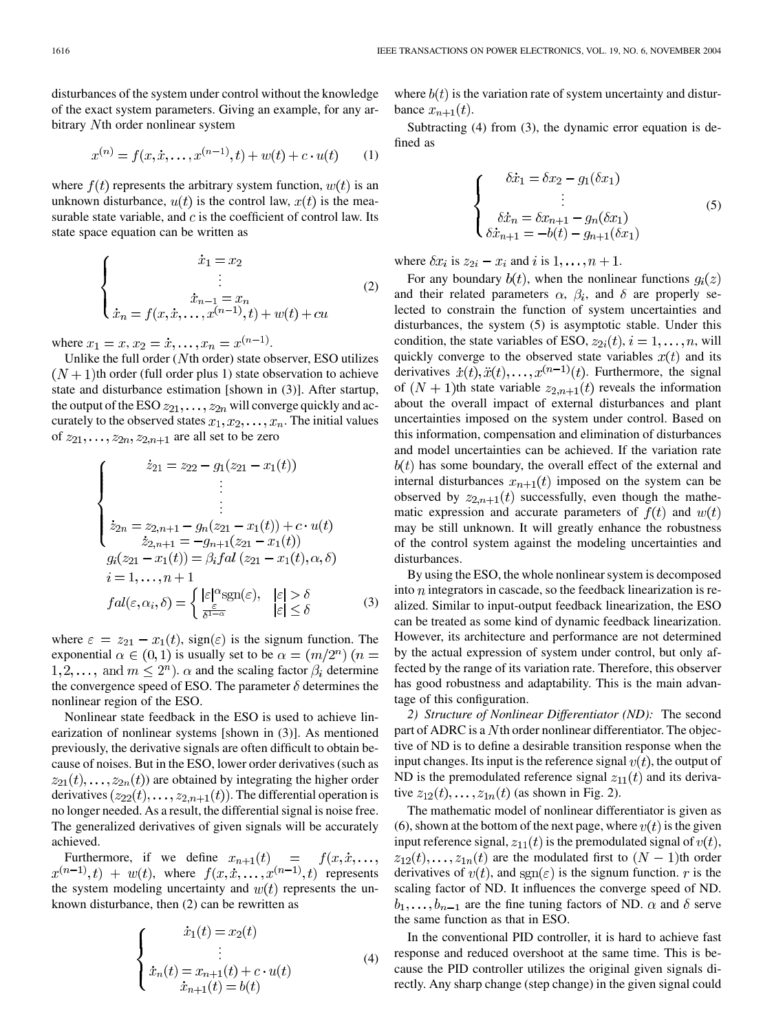$$
x^{(n)} = f(x, \dot{x}, \dots, x^{(n-1)}, t) + w(t) + c \cdot u(t) \tag{1}
$$

where  $f(t)$  represents the arbitrary system function,  $w(t)$  is an unknown disturbance,  $u(t)$  is the control law,  $x(t)$  is the measurable state variable, and  $c$  is the coefficient of control law. Its state space equation can be written as

$$
\begin{cases}\n\dot{x}_1 = x_2 \\
\vdots \\
\dot{x}_{n-1} = x_n \\
\dot{x}_n = f(x, \dot{x}, \dots, x^{(n-1)}, t) + w(t) + cu\n\end{cases}
$$
\n(2)

where  $x_1 = x, x_2 = \dot{x}, \dots, x_n = x^{(n-1)}$ .

Unlike the full order  $(Nth$  order) state observer, ESO utilizes  $(N+1)$ th order (full order plus 1) state observation to achieve state and disturbance estimation [shown in (3)]. After startup, the output of the ESO  $z_{21}, \ldots, z_{2n}$  will converge quickly and accurately to the observed states  $x_1, x_2, \ldots, x_n$ . The initial values of  $z_{21}, \ldots, z_{2n}, z_{2,n+1}$  are all set to be zero

$$
\begin{cases}\n\dot{z}_{21} = z_{22} - g_1(z_{21} - x_1(t)) \\
\vdots \\
\dot{z}_{2n} = z_{2,n+1} - g_n(z_{21} - x_1(t)) + c \cdot u(t) \\
\dot{z}_{2,n+1} = -g_{n+1}(z_{21} - x_1(t)) \\
g_i(z_{21} - x_1(t)) = \beta_i f \, al \, (z_{21} - x_1(t), \alpha, \delta) \\
i = 1, \dots, n+1 \\
fa l(\varepsilon, \alpha_i, \delta) = \begin{cases}\n|\varepsilon|^{\alpha} \text{sgn}(\varepsilon), & |\varepsilon| > \delta \\
\frac{\varepsilon}{\delta^{1-\alpha}} & |\varepsilon| \le \delta\n\end{cases}\n\end{cases} (3)
$$

where  $\varepsilon = z_{21} - x_1(t)$ , sign( $\varepsilon$ ) is the signum function. The exponential  $\alpha \in (0,1)$  is usually set to be  $\alpha = (m/2^n)$   $(n =$  $1, 2, \ldots$ , and  $m \leq 2^n$ ).  $\alpha$  and the scaling factor  $\beta_i$  determine the convergence speed of ESO. The parameter  $\delta$  determines the nonlinear region of the ESO.

Nonlinear state feedback in the ESO is used to achieve linearization of nonlinear systems [shown in (3)]. As mentioned previously, the derivative signals are often difficult to obtain because of noises. But in the ESO, lower order derivatives (such as  $z_{21}(t), \ldots, z_{2n}(t)$  are obtained by integrating the higher order derivatives  $(z_{22}(t), \ldots, z_{2,n+1}(t))$ . The differential operation is no longer needed. As a result, the differential signal is noise free. The generalized derivatives of given signals will be accurately achieved.

Furthermore, if we define  $x_{n+1}(t) = f(x, \dot{x}, \dots)$  $x^{(n-1)}, t$  +  $w(t)$ , where  $f(x, x, \ldots, x^{(n-1)}, t)$  represents the system modeling uncertainty and  $w(t)$  represents the unknown disturbance, then (2) can be rewritten as

$$
\begin{cases}\n\dot{x}_1(t) = x_2(t) \\
\vdots \\
\dot{x}_n(t) = x_{n+1}(t) + c \cdot u(t) \\
\dot{x}_{n+1}(t) = b(t)\n\end{cases} (4)
$$

where  $b(t)$  is the variation rate of system uncertainty and disturbance  $x_{n+1}(t)$ .

Subtracting (4) from (3), the dynamic error equation is defined as

$$
\begin{cases}\n\delta \dot{x}_1 = \delta x_2 - g_1(\delta x_1) \\
\vdots \\
\delta \dot{x}_n = \delta x_{n+1} - g_n(\delta x_1) \\
\delta \dot{x}_{n+1} = -b(t) - g_{n+1}(\delta x_1)\n\end{cases} (5)
$$

where  $\delta x_i$  is  $z_{2i} - x_i$  and i is  $1, \ldots, n+1$ .

For any boundary  $b(t)$ , when the nonlinear functions  $g_i(z)$ and their related parameters  $\alpha$ ,  $\beta_i$ , and  $\delta$  are properly selected to constrain the function of system uncertainties and disturbances, the system (5) is asymptotic stable. Under this condition, the state variables of ESO,  $z_{2i}(t)$ ,  $i = 1, \ldots, n$ , will quickly converge to the observed state variables  $x(t)$  and its derivatives  $\dot{x}(t), \ddot{x}(t), \ldots, x^{(n-1)}(t)$ . Furthermore, the signal of  $(N + 1)$ th state variable  $z_{2,n+1}(t)$  reveals the information about the overall impact of external disturbances and plant uncertainties imposed on the system under control. Based on this information, compensation and elimination of disturbances and model uncertainties can be achieved. If the variation rate  $h(t)$  has some boundary, the overall effect of the external and internal disturbances  $x_{n+1}(t)$  imposed on the system can be observed by  $z_{2,n+1}(t)$  successfully, even though the mathematic expression and accurate parameters of  $f(t)$  and  $w(t)$ may be still unknown. It will greatly enhance the robustness of the control system against the modeling uncertainties and disturbances.

By using the ESO, the whole nonlinear system is decomposed into  $n$  integrators in cascade, so the feedback linearization is realized. Similar to input-output feedback linearization, the ESO can be treated as some kind of dynamic feedback linearization. However, its architecture and performance are not determined by the actual expression of system under control, but only affected by the range of its variation rate. Therefore, this observer has good robustness and adaptability. This is the main advantage of this configuration.

*2) Structure of Nonlinear Differentiator (ND):* The second part of ADRC is a  $N$ th order nonlinear differentiator. The objective of ND is to define a desirable transition response when the input changes. Its input is the reference signal  $v(t)$ , the output of ND is the premodulated reference signal  $z_{11}(t)$  and its derivative  $z_{12}(t), \ldots, z_{1n}(t)$  (as shown in Fig. 2).

The mathematic model of nonlinear differentiator is given as (6), shown at the bottom of the next page, where  $v(t)$  is the given input reference signal,  $z_{11}(t)$  is the premodulated signal of  $v(t)$ ,  $z_{12}(t), \ldots, z_{1n}(t)$  are the modulated first to  $(N-1)$ th order derivatives of  $v(t)$ , and  $sgn(\varepsilon)$  is the signum function. r is the scaling factor of ND. It influences the converge speed of ND.  $b_1, \ldots, b_{n-1}$  are the fine tuning factors of ND.  $\alpha$  and  $\delta$  serve the same function as that in ESO.

In the conventional PID controller, it is hard to achieve fast response and reduced overshoot at the same time. This is because the PID controller utilizes the original given signals directly. Any sharp change (step change) in the given signal could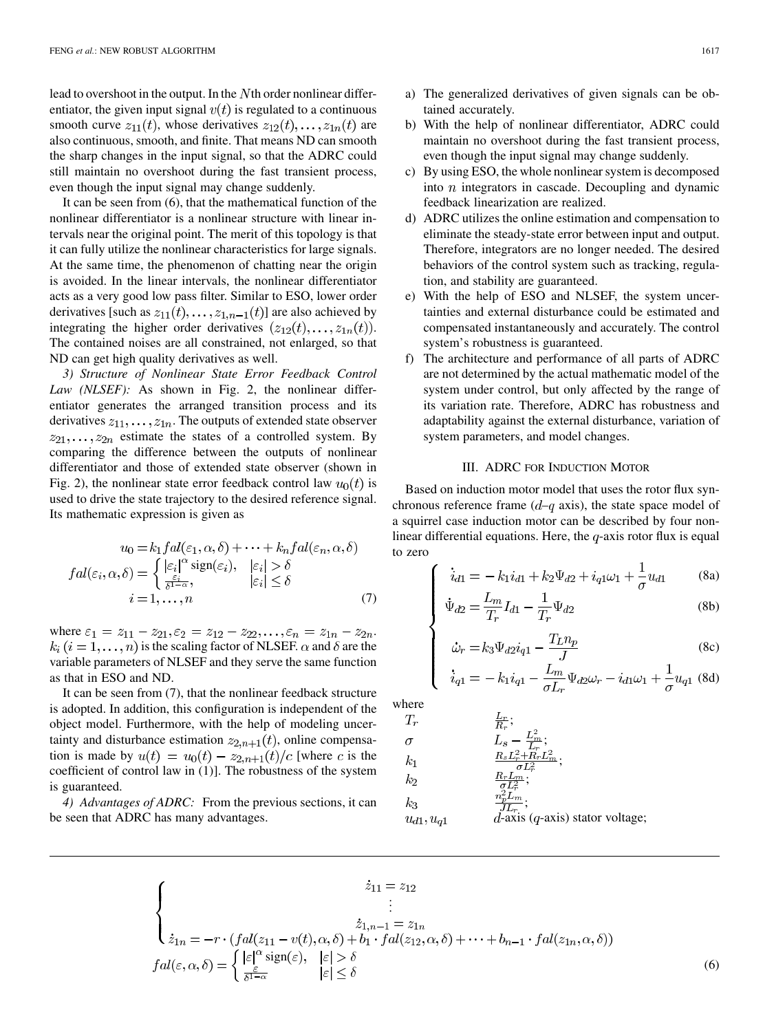lead to overshoot in the output. In the  $N$ th order nonlinear differentiator, the given input signal  $v(t)$  is regulated to a continuous smooth curve  $z_{11}(t)$ , whose derivatives  $z_{12}(t), \ldots, z_{1n}(t)$  are also continuous, smooth, and finite. That means ND can smooth the sharp changes in the input signal, so that the ADRC could still maintain no overshoot during the fast transient process, even though the input signal may change suddenly.

It can be seen from (6), that the mathematical function of the nonlinear differentiator is a nonlinear structure with linear intervals near the original point. The merit of this topology is that it can fully utilize the nonlinear characteristics for large signals. At the same time, the phenomenon of chatting near the origin is avoided. In the linear intervals, the nonlinear differentiator acts as a very good low pass filter. Similar to ESO, lower order derivatives [such as  $z_{11}(t), \ldots, z_{1,n-1}(t)$ ] are also achieved by integrating the higher order derivatives  $(z_{12}(t), \ldots, z_{1n}(t))$ . The contained noises are all constrained, not enlarged, so that ND can get high quality derivatives as well.

*3) Structure of Nonlinear State Error Feedback Control Law (NLSEF):* As shown in Fig. 2, the nonlinear differentiator generates the arranged transition process and its derivatives  $z_{11}, \ldots, z_{1n}$ . The outputs of extended state observer  $z_{21}, \ldots, z_{2n}$  estimate the states of a controlled system. By comparing the difference between the outputs of nonlinear differentiator and those of extended state observer (shown in Fig. 2), the nonlinear state error feedback control law  $u_0(t)$  is used to drive the state trajectory to the desired reference signal. Its mathematic expression is given as

$$
u_0 = k_1 f a l(\varepsilon_1, \alpha, \delta) + \dots + k_n f a l(\varepsilon_n, \alpha, \delta)
$$

$$
fal(\varepsilon_i, \alpha, \delta) = \begin{cases} |\varepsilon_i|^{\alpha} \operatorname{sign}(\varepsilon_i), & |\varepsilon_i| > \delta \\ \frac{\varepsilon_i}{\delta^{1-\alpha}}, & |\varepsilon_i| \le \delta \end{cases}
$$

$$
i = 1, \dots, n
$$
(7)

where  $\varepsilon_1 = z_{11} - z_{21}, \varepsilon_2 = z_{12} - z_{22}, \ldots, \varepsilon_n = z_{1n} - z_{2n}$ .  $k_i$   $(i = 1, \ldots, n)$  is the scaling factor of NLSEF.  $\alpha$  and  $\delta$  are the variable parameters of NLSEF and they serve the same function as that in ESO and ND.

It can be seen from (7), that the nonlinear feedback structure is adopted. In addition, this configuration is independent of the object model. Furthermore, with the help of modeling uncertainty and disturbance estimation  $z_{2,n+1}(t)$ , online compensation is made by  $u(t) = u_0(t) - z_{2,n+1}(t)/c$  [where c is the coefficient of control law in (1)]. The robustness of the system is guaranteed.

*4) Advantages of ADRC:* From the previous sections, it can be seen that ADRC has many advantages.

- a) The generalized derivatives of given signals can be obtained accurately.
- b) With the help of nonlinear differentiator, ADRC could maintain no overshoot during the fast transient process, even though the input signal may change suddenly.
- c) By using ESO, the whole nonlinear system is decomposed into  $n$  integrators in cascade. Decoupling and dynamic feedback linearization are realized.
- d) ADRC utilizes the online estimation and compensation to eliminate the steady-state error between input and output. Therefore, integrators are no longer needed. The desired behaviors of the control system such as tracking, regulation, and stability are guaranteed.
- e) With the help of ESO and NLSEF, the system uncertainties and external disturbance could be estimated and compensated instantaneously and accurately. The control system's robustness is guaranteed.
- f) The architecture and performance of all parts of ADRC are not determined by the actual mathematic model of the system under control, but only affected by the range of its variation rate. Therefore, ADRC has robustness and adaptability against the external disturbance, variation of system parameters, and model changes.

## III. ADRC FOR INDUCTION MOTOR

Based on induction motor model that uses the rotor flux synchronous reference frame  $(d-q \text{ axis})$ , the state space model of a squirrel case induction motor can be described by four nonlinear differential equations. Here, the  $q$ -axis rotor flux is equal to zero

$$
\dot{i}_{d1} = -k_1 i_{d1} + k_2 \Psi_{d2} + i_{q1} \omega_1 + \frac{1}{\sigma} u_{d1} \tag{8a}
$$

$$
\dot{\Psi}_{d2} = \frac{L_m}{T_r} I_{d1} - \frac{1}{T_r} \Psi_{d2}
$$
\n(8b)

$$
\dot{\omega}_r = k_3 \Psi_{d2} i_{q1} - \frac{T_L n_p}{J} \tag{8c}
$$

$$
\dot{i}_{q1} = -k_1 i_{q1} - \frac{L_m}{\sigma L_r} \Psi_{d2} \omega_r - i_{d1} \omega_1 + \frac{1}{\sigma} u_{q1} \tag{8d}
$$

where

$$
\begin{array}{lll} T_r & \frac{L_r}{R_r};\\ \sigma & L_s-\frac{L_m^2}{L_r};\\ k_1 & \frac{R_sL_r^2+R_rL_m^2}{\sigma L_r^2};\\ k_2 & \frac{R_rL_m}{\sigma L_r^2};\\ k_3 & \frac{n_p^2L_m}{J L_r};\\ u_{d1}, u_{q1} & d\mbox{-axis}\ (q\mbox{-axis})\ \text{stator voltage}; \end{array}
$$

$$
\begin{cases}\n\dot{z}_{11} = z_{12} \\
\vdots \\
\dot{z}_{1n} = -r \cdot (fal(z_{11} - v(t), \alpha, \delta) + b_1 \cdot fal(z_{12}, \alpha, \delta) + \dots + b_{n-1} \cdot fal(z_{1n}, \alpha, \delta)) \\
fal(\varepsilon, \alpha, \delta) = \begin{cases}\n|\varepsilon|^{\alpha} \operatorname{sign}(\varepsilon), & |\varepsilon| > \delta \\
\frac{\delta^{\varepsilon}}{\delta^{1-\alpha}} & |\varepsilon| \le \delta\n\end{cases}\n\end{cases} (6)
$$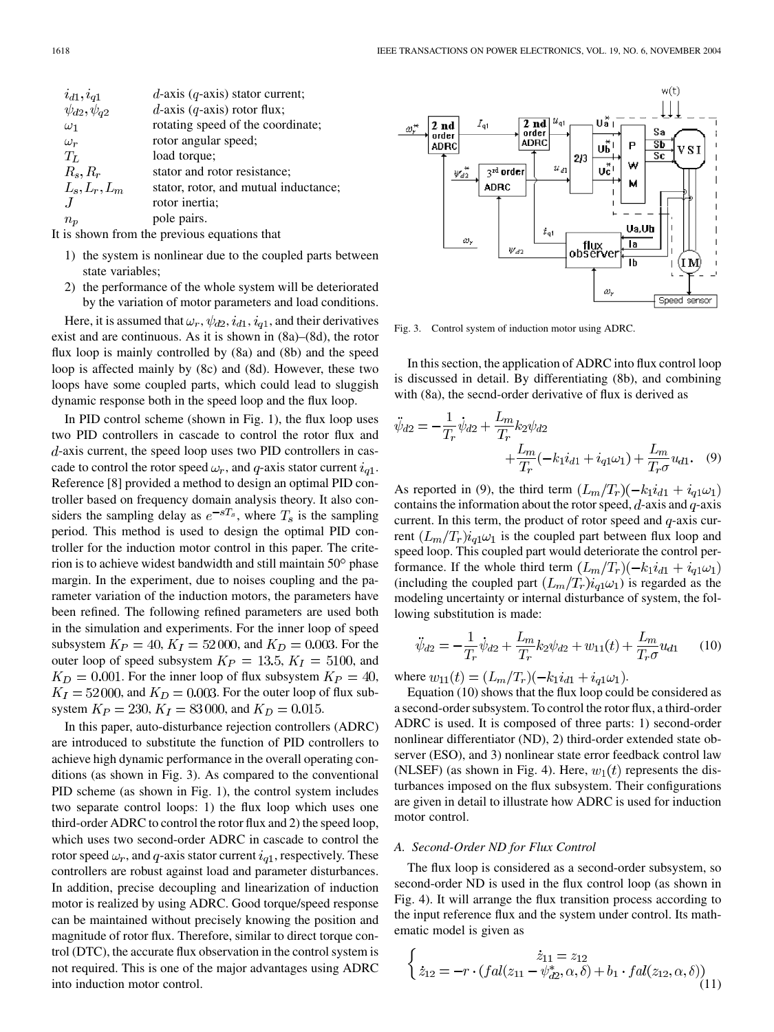| $i_{d1}, i_{q1}$                                                                 | $d$ -axis (q-axis) stator current;    |
|----------------------------------------------------------------------------------|---------------------------------------|
| $\psi_{d2}, \psi_{q2}$                                                           | $d$ -axis (q-axis) rotor flux;        |
| $\omega_1$                                                                       | rotating speed of the coordinate;     |
| $\omega_r$                                                                       | rotor angular speed;                  |
| $T_L$                                                                            | load torque;                          |
| $R_s, R_r$                                                                       | stator and rotor resistance;          |
| $L_s, L_r, L_m$                                                                  | stator, rotor, and mutual inductance; |
|                                                                                  | rotor inertia;                        |
| $n_{\bm p}$                                                                      | pole pairs.                           |
| $\mathbf{r}$ and $\mathbf{r}$ and $\mathbf{r}$ and $\mathbf{r}$ and $\mathbf{r}$ |                                       |

It is shown from the previous equations that

- 1) the system is nonlinear due to the coupled parts between state variables;
- 2) the performance of the whole system will be deteriorated by the variation of motor parameters and load conditions.

Here, it is assumed that  $\omega_r$ ,  $\psi_{d2}$ ,  $i_{d1}$ ,  $i_{q1}$ , and their derivatives exist and are continuous. As it is shown in (8a)–(8d), the rotor flux loop is mainly controlled by (8a) and (8b) and the speed loop is affected mainly by (8c) and (8d). However, these two loops have some coupled parts, which could lead to sluggish dynamic response both in the speed loop and the flux loop.

In PID control scheme (shown in Fig. 1), the flux loop uses two PID controllers in cascade to control the rotor flux and  $d$ -axis current, the speed loop uses two PID controllers in cascade to control the rotor speed  $\omega_r$ , and q-axis stator current  $i_{q1}$ . Reference [[8](#page-12-0)] provided a method to design an optimal PID controller based on frequency domain analysis theory. It also considers the sampling delay as  $e^{-sT_s}$ , where  $T_s$  is the sampling period. This method is used to design the optimal PID controller for the induction motor control in this paper. The criterion is to achieve widest bandwidth and still maintain  $50^{\circ}$  phase margin. In the experiment, due to noises coupling and the parameter variation of the induction motors, the parameters have been refined. The following refined parameters are used both in the simulation and experiments. For the inner loop of speed subsystem  $K_P = 40, K_I = 52000$ , and  $K_D = 0.003$ . For the outer loop of speed subsystem  $K_P = 13.5, K_I = 5100$ , and  $K_D = 0.001$ . For the inner loop of flux subsystem  $K_P = 40$ ,  $K_I = 52000$ , and  $K_D = 0.003$ . For the outer loop of flux subsystem  $K_P = 230, K_I = 83,000$ , and  $K_D = 0.015$ .

In this paper, auto-disturbance rejection controllers (ADRC) are introduced to substitute the function of PID controllers to achieve high dynamic performance in the overall operating conditions (as shown in Fig. 3). As compared to the conventional PID scheme (as shown in Fig. 1), the control system includes two separate control loops: 1) the flux loop which uses one third-order ADRC to control the rotor flux and 2) the speed loop, which uses two second-order ADRC in cascade to control the rotor speed  $\omega_r$ , and q-axis stator current  $i_{q1}$ , respectively. These controllers are robust against load and parameter disturbances. In addition, precise decoupling and linearization of induction motor is realized by using ADRC. Good torque/speed response can be maintained without precisely knowing the position and magnitude of rotor flux. Therefore, similar to direct torque control (DTC), the accurate flux observation in the control system is not required. This is one of the major advantages using ADRC into induction motor control.



Fig. 3. Control system of induction motor using ADRC.

In this section, the application of ADRC into flux control loop is discussed in detail. By differentiating (8b), and combining with (8a), the secnd-order derivative of flux is derived as

$$
\ddot{\psi}_{d2} = -\frac{1}{T_r} \dot{\psi}_{d2} + \frac{L_m}{T_r} k_2 \psi_{d2} \n+ \frac{L_m}{T_r} (-k_1 i_{d1} + i_{q1} \omega_1) + \frac{L_m}{T_r \sigma} u_{d1}. \quad (9)
$$

As reported in (9), the third term  $(L_m/T_r)(-k_1 i_{d1} + i_{q1} \omega_1)$ contains the information about the rotor speed,  $d$ -axis and  $q$ -axis current. In this term, the product of rotor speed and  $q$ -axis current  $(L_m/T_r)i_{q1}\omega_1$  is the coupled part between flux loop and speed loop. This coupled part would deteriorate the control performance. If the whole third term  $(L_m/T_r)(-k_1 i_{d1} + i_{q1}\omega_1)$ (including the coupled part  $(L_m/T_r)i_{q1}\omega_1$ ) is regarded as the modeling uncertainty or internal disturbance of system, the following substitution is made:

$$
\ddot{\psi}_{d2} = -\frac{1}{T_r} \dot{\psi}_{d2} + \frac{L_m}{T_r} k_2 \psi_{d2} + w_{11}(t) + \frac{L_m}{T_r \sigma} u_{d1} \qquad (10)
$$

where  $w_{11}(t) = (L_m/T_r)(-k_1 i_{d1} + i_{q1}\omega_1).$ 

Equation (10) shows that the flux loop could be considered as a second-order subsystem. To control the rotor flux, a third-order ADRC is used. It is composed of three parts: 1) second-order nonlinear differentiator (ND), 2) third-order extended state observer (ESO), and 3) nonlinear state error feedback control law (NLSEF) (as shown in Fig. 4). Here,  $w_1(t)$  represents the disturbances imposed on the flux subsystem. Their configurations are given in detail to illustrate how ADRC is used for induction motor control.

## *A. Second-Order ND for Flux Control*

The flux loop is considered as a second-order subsystem, so second-order ND is used in the flux control loop (as shown in Fig. 4). It will arrange the flux transition process according to the input reference flux and the system under control. Its mathematic model is given as

$$
\begin{cases}\n\dot{z}_{11} = z_{12} \\
\dot{z}_{12} = -r \cdot (fal(z_{11} - \psi_{d2}^*, \alpha, \delta) + b_1 \cdot fal(z_{12}, \alpha, \delta))\n\end{cases} (11)
$$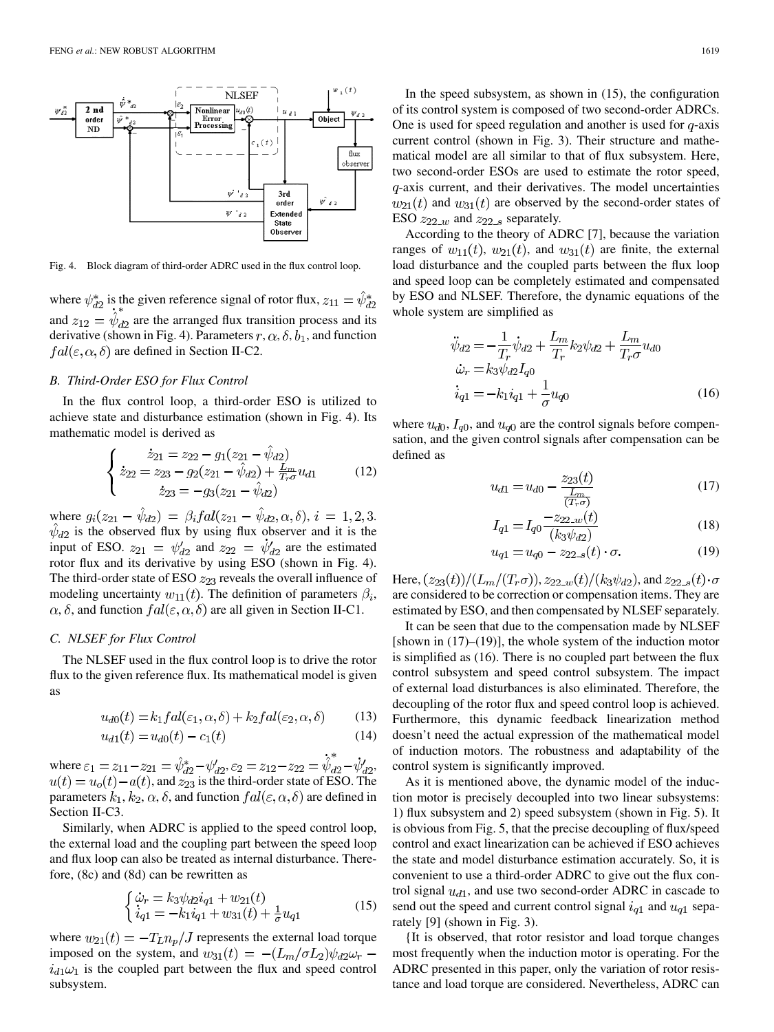

Fig. 4. Block diagram of third-order ADRC used in the flux control loop.

where  $\psi_{d2}^*$  is the given reference signal of rotor flux,  $z_{11} = \hat{\psi}_{d2}^*$ and  $z_{12} = \hat{\psi}_{d2}$  are the arranged flux transition process and its derivative (shown in Fig. 4). Parameters  $r, \alpha, \delta, b_1$ , and function  $fal(\varepsilon, \alpha, \delta)$  are defined in Section II-C2.

# *B. Third-Order ESO for Flux Control*

In the flux control loop, a third-order ESO is utilized to achieve state and disturbance estimation (shown in Fig. 4). Its mathematic model is derived as

$$
\begin{cases}\n\dot{z}_{21} = z_{22} - g_1(z_{21} - \hat{\psi}_{d2}) \\
\dot{z}_{22} = z_{23} - g_2(z_{21} - \hat{\psi}_{d2}) + \frac{L_m}{T_r \sigma} u_{d1} \\
\dot{z}_{23} = -g_3(z_{21} - \hat{\psi}_{d2})\n\end{cases} (12)
$$

where  $g_i(z_{21} - \psi_{d2}) = \beta_i f a l(z_{21} - \psi_{d2}, \alpha, \delta), i = 1, 2, 3.$ is the observed flux by using flux observer and it is the input of ESO.  $z_{21} = \psi_{d2}$  and  $z_{22} = \psi_{d2}$  are the estimated rotor flux and its derivative by using ESO (shown in Fig. 4). The third-order state of ESO  $z_{23}$  reveals the overall influence of modeling uncertainty  $w_{11}(t)$ . The definition of parameters  $\beta_i$ ,  $\alpha$ ,  $\delta$ , and function  $fal(\varepsilon, \alpha, \delta)$  are all given in Section II-C1.

#### *C. NLSEF for Flux Control*

The NLSEF used in the flux control loop is to drive the rotor flux to the given reference flux. Its mathematical model is given as

$$
u_{d0}(t) = k_1 f a l(\varepsilon_1, \alpha, \delta) + k_2 f a l(\varepsilon_2, \alpha, \delta)
$$
 (13)

$$
u_{d1}(t) = u_{d0}(t) - c_1(t) \tag{14}
$$

where  $\varepsilon_1 = z_{11} - z_{21} = \hat{\psi}_{d2}^* - \psi'_{d2}, \varepsilon_2 = z_{12} - z_{22} = \dot{\hat{\psi}}_{d2}^* - \dot{\psi}'_{d2},$  $u(t) = u<sub>o</sub>(t) - a(t)$ , and  $z_{23}$  is the third-order state of ESO. The parameters  $k_1, k_2, \alpha, \delta$ , and function  $fal(\varepsilon, \alpha, \delta)$  are defined in Section II-C3.

Similarly, when ADRC is applied to the speed control loop, the external load and the coupling part between the speed loop and flux loop can also be treated as internal disturbance. Therefore, (8c) and (8d) can be rewritten as

$$
\begin{cases} \n\dot{\omega}_r = k_3 \psi_{d2} i_{q1} + w_{21}(t) \\ \n\dot{i}_{q1} = -k_1 i_{q1} + w_{31}(t) + \frac{1}{\sigma} u_{q1} \n\end{cases} \tag{15}
$$

where  $w_{21}(t) = -T_L n_p / J$  represents the external load torque imposed on the system, and  $w_{31}(t) = -(L_m/\sigma L_2)\psi_{d2}\omega_r$  –  $i_{d1}\omega_1$  is the coupled part between the flux and speed control subsystem.

In the speed subsystem, as shown in (15), the configuration of its control system is composed of two second-order ADRCs. One is used for speed regulation and another is used for  $q$ -axis current control (shown in Fig. 3). Their structure and mathematical model are all similar to that of flux subsystem. Here, two second-order ESOs are used to estimate the rotor speed,  $q$ -axis current, and their derivatives. The model uncertainties  $w_{21}(t)$  and  $w_{31}(t)$  are observed by the second-order states of ESO  $z_{22-w}$  and  $z_{22-s}$  separately.

According to the theory of ADRC [\[7](#page-12-0)], because the variation ranges of  $w_{11}(t)$ ,  $w_{21}(t)$ , and  $w_{31}(t)$  are finite, the external load disturbance and the coupled parts between the flux loop and speed loop can be completely estimated and compensated by ESO and NLSEF. Therefore, the dynamic equations of the whole system are simplified as

$$
\ddot{\psi}_{d2} = -\frac{1}{T_r} \dot{\psi}_{d2} + \frac{L_m}{T_r} k_2 \psi_{d2} + \frac{L_m}{T_r \sigma} u_{d0} \n\dot{\omega}_r = k_3 \psi_{d2} I_{q0} \n\dot{i}_{q1} = -k_1 \dot{i}_{q1} + \frac{1}{\sigma} u_{q0}
$$
\n(16)

where  $u_{d0}$ ,  $I_{q0}$ , and  $u_{q0}$  are the control signals before compensation, and the given control signals after compensation can be defined as

$$
u_{d1} = u_{d0} - \frac{z_{23}(t)}{\frac{L_m}{(T - \sigma)}}\tag{17}
$$

$$
I_{q1} = I_{q0} \frac{-z_{22 \text{...}}(t)}{(k_3 \psi_{d2})}
$$
(18)

$$
u_{q1} = u_{q0} - z_{22\ldots s}(t) \cdot \sigma.
$$
 (19)

Here,  $(z_{23}(t))/(L_m/(T_r\sigma))$ ,  $z_{22_w}(t)/(k_3\psi_{d2})$ , and  $z_{22_s}(t)\cdot\sigma$ are considered to be correction or compensation items. They are estimated by ESO, and then compensated by NLSEF separately.

It can be seen that due to the compensation made by NLSEF [shown in  $(17)$ – $(19)$ ], the whole system of the induction motor is simplified as (16). There is no coupled part between the flux control subsystem and speed control subsystem. The impact of external load disturbances is also eliminated. Therefore, the decoupling of the rotor flux and speed control loop is achieved. Furthermore, this dynamic feedback linearization method doesn't need the actual expression of the mathematical model of induction motors. The robustness and adaptability of the control system is significantly improved.

As it is mentioned above, the dynamic model of the induction motor is precisely decoupled into two linear subsystems: 1) flux subsystem and 2) speed subsystem (shown in Fig. 5). It is obvious from Fig. 5, that the precise decoupling of flux/speed control and exact linearization can be achieved if ESO achieves the state and model disturbance estimation accurately. So, it is convenient to use a third-order ADRC to give out the flux control signal  $u_{d1}$ , and use two second-order ADRC in cascade to send out the speed and current control signal  $i_{q1}$  and  $u_{q1}$  separately [[9\]](#page-12-0) (shown in Fig. 3).

{It is observed, that rotor resistor and load torque changes most frequently when the induction motor is operating. For the ADRC presented in this paper, only the variation of rotor resistance and load torque are considered. Nevertheless, ADRC can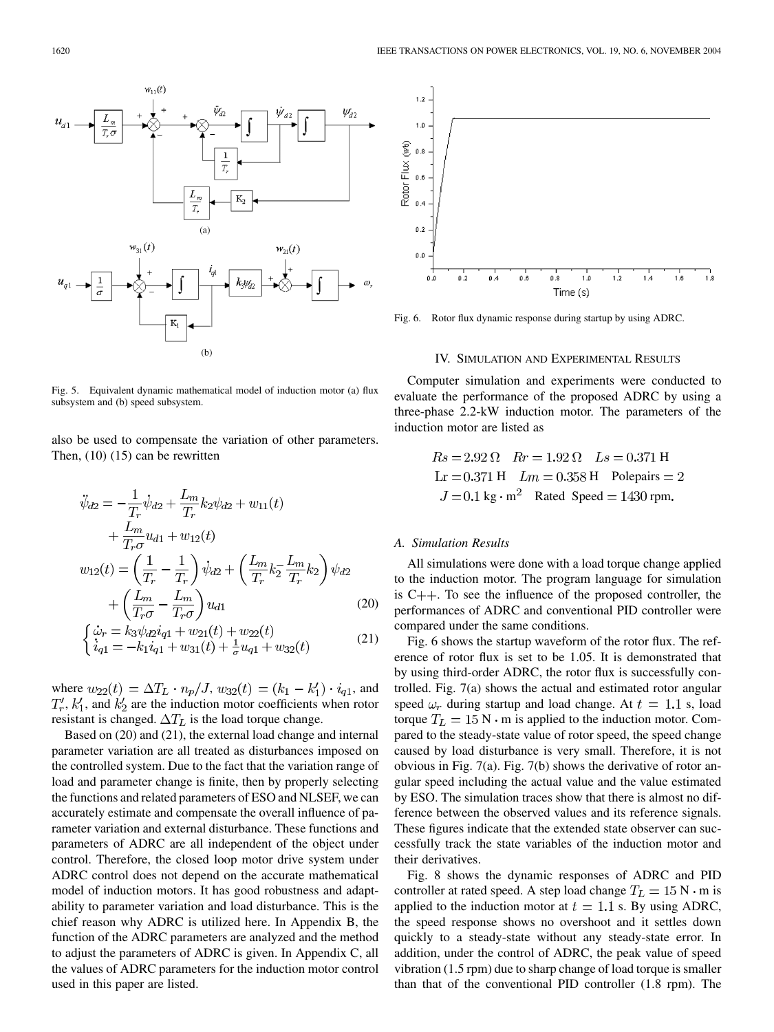

Fig. 5. Equivalent dynamic mathematical model of induction motor (a) flux subsystem and (b) speed subsystem.

also be used to compensate the variation of other parameters. Then, (10) (15) can be rewritten

$$
\ddot{\psi}_{d2} = -\frac{1}{T_r} \dot{\psi}_{d2} + \frac{L_m}{T_r} k_2 \psi_{d2} + w_{11}(t) \n+ \frac{L_m}{T_r \sigma} u_{d1} + w_{12}(t) \nw_{12}(t) = \left(\frac{1}{T_r} - \frac{1}{T_r}\right) \dot{\psi}_{d2} + \left(\frac{L_m}{T_r} k_2 \frac{L_m}{T_r} k_2\right) \psi_{d2} \n+ \left(\frac{L_m}{T_r \sigma} - \frac{L_m}{T_r \sigma}\right) u_{d1} \tag{20}
$$
\n
$$
\begin{aligned}\n\dot{\psi}_r &= k_3 \psi_{d2} i_{d1} + w_{21}(t) + w_{22}(t) \end{aligned}
$$

$$
\begin{cases} \omega_r - \kappa_3 \psi_d \psi_d \psi_d + w_{21}(t) + w_{22}(t) \\ \dot{i}_{q1} = -k_1 \dot{i}_{q1} + w_{31}(t) + \frac{1}{\sigma} u_{q1} + w_{32}(t) \end{cases} \tag{21}
$$

where  $w_{22}(t) = \Delta T_L \cdot n_p / J$ ,  $w_{32}(t) = (k_1 - k'_1) \cdot i_{q1}$ , and  $T'_r$ ,  $k'_1$ , and  $k'_2$  are the induction motor coefficients when rotor resistant is changed.  $\Delta T_L$  is the load torque change.

Based on (20) and (21), the external load change and internal parameter variation are all treated as disturbances imposed on the controlled system. Due to the fact that the variation range of load and parameter change is finite, then by properly selecting the functions and related parameters of ESO and NLSEF, we can accurately estimate and compensate the overall influence of parameter variation and external disturbance. These functions and parameters of ADRC are all independent of the object under control. Therefore, the closed loop motor drive system under ADRC control does not depend on the accurate mathematical model of induction motors. It has good robustness and adaptability to parameter variation and load disturbance. This is the chief reason why ADRC is utilized here. In Appendix B, the function of the ADRC parameters are analyzed and the method to adjust the parameters of ADRC is given. In Appendix C, all the values of ADRC parameters for the induction motor control used in this paper are listed.



Fig. 6. Rotor flux dynamic response during startup by using ADRC.

#### IV. SIMULATION AND EXPERIMENTAL RESULTS

Computer simulation and experiments were conducted to evaluate the performance of the proposed ADRC by using a three-phase 2.2-kW induction motor. The parameters of the induction motor are listed as

$$
Rs = 2.92 \Omega
$$
  $Rr = 1.92 \Omega$   $LS = 0.371 \text{ H}$   
  $\text{Lr} = 0.371 \text{ H}$   $Lm = 0.358 \text{ H}$  Polepairs = 2  
  $J = 0.1 \text{ kg} \cdot \text{m}^2$  Rated Speed = 1430 rpm.

## *A. Simulation Results*

All simulations were done with a load torque change applied to the induction motor. The program language for simulation is  $C_{++}$ . To see the influence of the proposed controller, the performances of ADRC and conventional PID controller were compared under the same conditions.

Fig. 6 shows the startup waveform of the rotor flux. The reference of rotor flux is set to be 1.05. It is demonstrated that by using third-order ADRC, the rotor flux is successfully controlled. Fig. 7(a) shows the actual and estimated rotor angular speed  $\omega_r$  during startup and load change. At  $t = 1.1$  s, load torque  $T_L = 15$  N  $\cdot$  m is applied to the induction motor. Compared to the steady-state value of rotor speed, the speed change caused by load disturbance is very small. Therefore, it is not obvious in Fig. 7(a). Fig. 7(b) shows the derivative of rotor angular speed including the actual value and the value estimated by ESO. The simulation traces show that there is almost no difference between the observed values and its reference signals. These figures indicate that the extended state observer can successfully track the state variables of the induction motor and their derivatives.

Fig. 8 shows the dynamic responses of ADRC and PID controller at rated speed. A step load change  $T_L = 15 \text{ N} \cdot \text{m}$  is applied to the induction motor at  $t = 1.1$  s. By using ADRC, the speed response shows no overshoot and it settles down quickly to a steady-state without any steady-state error. In addition, under the control of ADRC, the peak value of speed vibration (1.5 rpm) due to sharp change of load torque is smaller than that of the conventional PID controller (1.8 rpm). The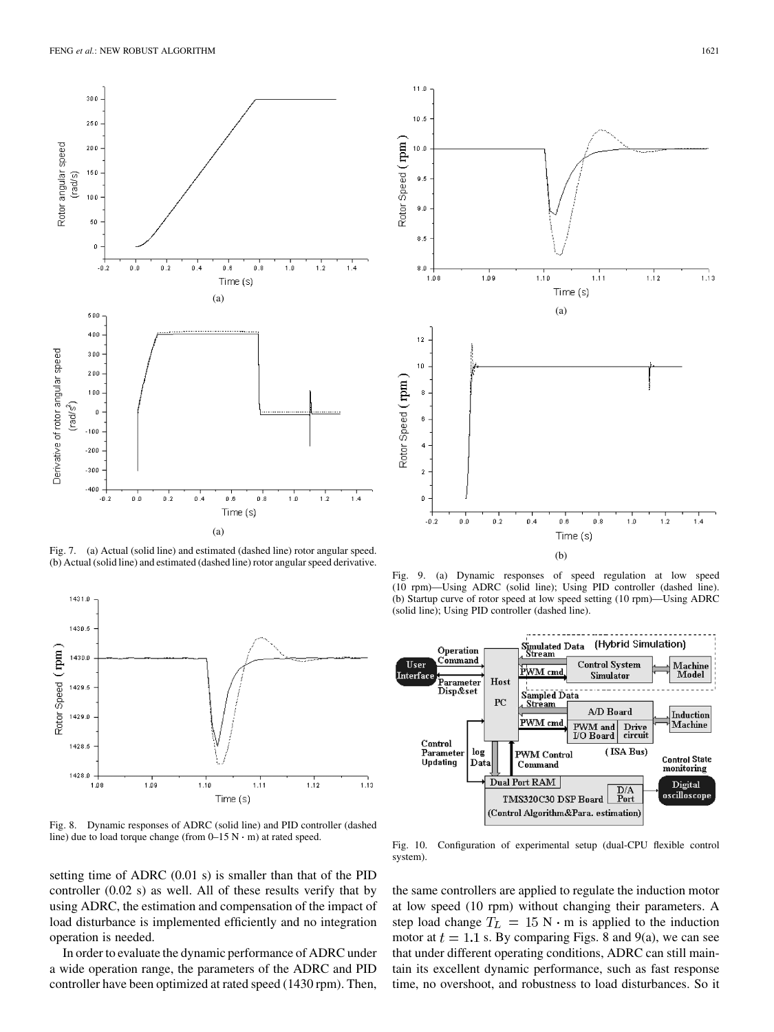

Fig. 7. (a) Actual (solid line) and estimated (dashed line) rotor angular speed. (b) Actual (solid line) and estimated (dashed line) rotor angular speed derivative.



Fig. 8. Dynamic responses of ADRC (solid line) and PID controller (dashed line) due to load torque change (from 0–15 N m) at rated speed.

setting time of ADRC (0.01 s) is smaller than that of the PID controller (0.02 s) as well. All of these results verify that by using ADRC, the estimation and compensation of the impact of load disturbance is implemented efficiently and no integration operation is needed.

In order to evaluate the dynamic performance of ADRC under a wide operation range, the parameters of the ADRC and PID controller have been optimized at rated speed (1430 rpm). Then,



Fig. 9. (a) Dynamic responses of speed regulation at low speed (10 rpm)—Using ADRC (solid line); Using PID controller (dashed line). (b) Startup curve of rotor speed at low speed setting (10 rpm)—Using ADRC (solid line); Using PID controller (dashed line).



Fig. 10. Configuration of experimental setup (dual-CPU flexible control system).

the same controllers are applied to regulate the induction motor at low speed (10 rpm) without changing their parameters. A step load change  $T_L = 15 \text{ N} \cdot \text{m}$  is applied to the induction motor at  $t = 1.1$  s. By comparing Figs. 8 and 9(a), we can see that under different operating conditions, ADRC can still maintain its excellent dynamic performance, such as fast response time, no overshoot, and robustness to load disturbances. So it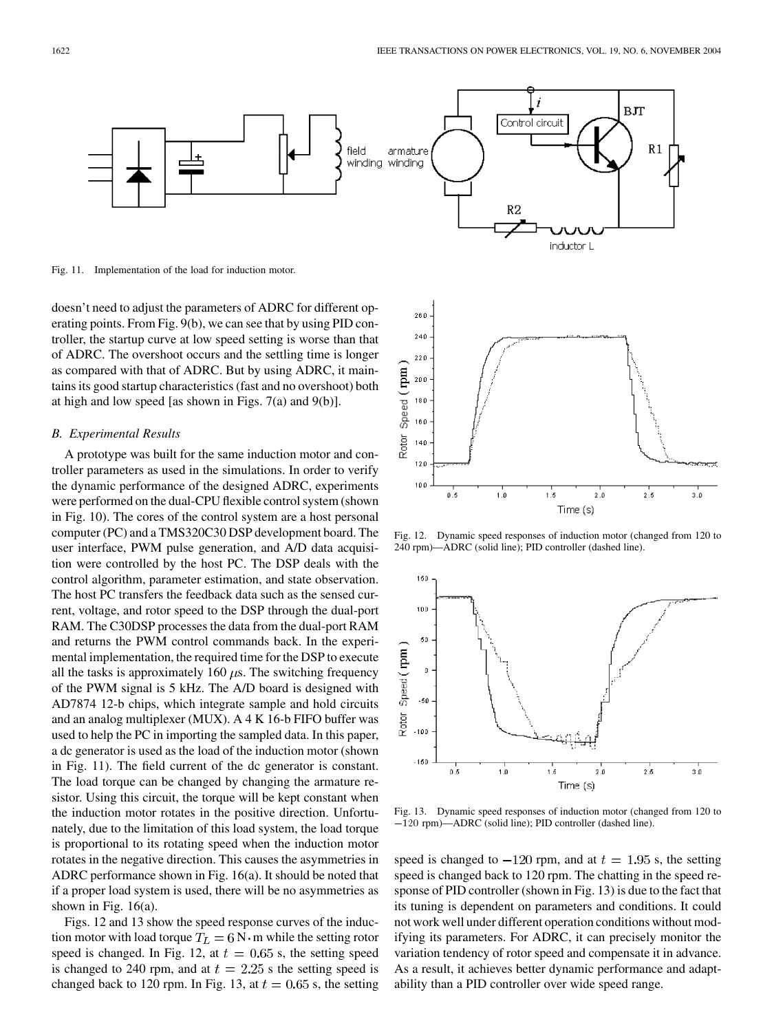

Fig. 11. Implementation of the load for induction motor.

doesn't need to adjust the parameters of ADRC for different operating points. From Fig. 9(b), we can see that by using PID controller, the startup curve at low speed setting is worse than that of ADRC. The overshoot occurs and the settling time is longer as compared with that of ADRC. But by using ADRC, it maintains its good startup characteristics (fast and no overshoot) both at high and low speed [as shown in Figs. 7(a) and 9(b)].

#### *B. Experimental Results*

A prototype was built for the same induction motor and controller parameters as used in the simulations. In order to verify the dynamic performance of the designed ADRC, experiments were performed on the dual-CPU flexible control system (shown in Fig. 10). The cores of the control system are a host personal computer (PC) and a TMS320C30 DSP development board. The user interface, PWM pulse generation, and A/D data acquisition were controlled by the host PC. The DSP deals with the control algorithm, parameter estimation, and state observation. The host PC transfers the feedback data such as the sensed current, voltage, and rotor speed to the DSP through the dual-port RAM. The C30DSP processes the data from the dual-port RAM and returns the PWM control commands back. In the experimental implementation, the required time for the DSP to execute all the tasks is approximately 160  $\mu$ s. The switching frequency of the PWM signal is 5 kHz. The A/D board is designed with AD7874 12-b chips, which integrate sample and hold circuits and an analog multiplexer (MUX). A 4 K 16-b FIFO buffer was used to help the PC in importing the sampled data. In this paper, a dc generator is used as the load of the induction motor (shown in Fig. 11). The field current of the dc generator is constant. The load torque can be changed by changing the armature resistor. Using this circuit, the torque will be kept constant when the induction motor rotates in the positive direction. Unfortunately, due to the limitation of this load system, the load torque is proportional to its rotating speed when the induction motor rotates in the negative direction. This causes the asymmetries in ADRC performance shown in Fig. 16(a). It should be noted that if a proper load system is used, there will be no asymmetries as shown in Fig. 16(a).

Figs. 12 and 13 show the speed response curves of the induction motor with load torque  $T_L = 6 \text{ N} \cdot \text{m}$  while the setting rotor speed is changed. In Fig. 12, at  $t = 0.65$  s, the setting speed is changed to 240 rpm, and at  $t = 2.25$  s the setting speed is changed back to 120 rpm. In Fig. 13, at  $t = 0.65$  s, the setting



Fig. 12. Dynamic speed responses of induction motor (changed from 120 to 240 rpm)—ADRC (solid line); PID controller (dashed line).



Fig. 13. Dynamic speed responses of induction motor (changed from 120 to Time (s)<br>120 Fig. 13. Dynamic speed responses of induction motor (chan<br>120 rpm)—ADRC (solid line); PID controller (dashed line).

speed is changed to  $-120$  rpm, and at  $t = 1.95$  s, the setting speed is changed back to 120 rpm. The chatting in the speed response of PID controller (shown in Fig. 13) is due to the fact that its tuning is dependent on parameters and conditions. It could not work well under different operation conditions without modifying its parameters. For ADRC, it can precisely monitor the variation tendency of rotor speed and compensate it in advance. As a result, it achieves better dynamic performance and adaptability than a PID controller over wide speed range.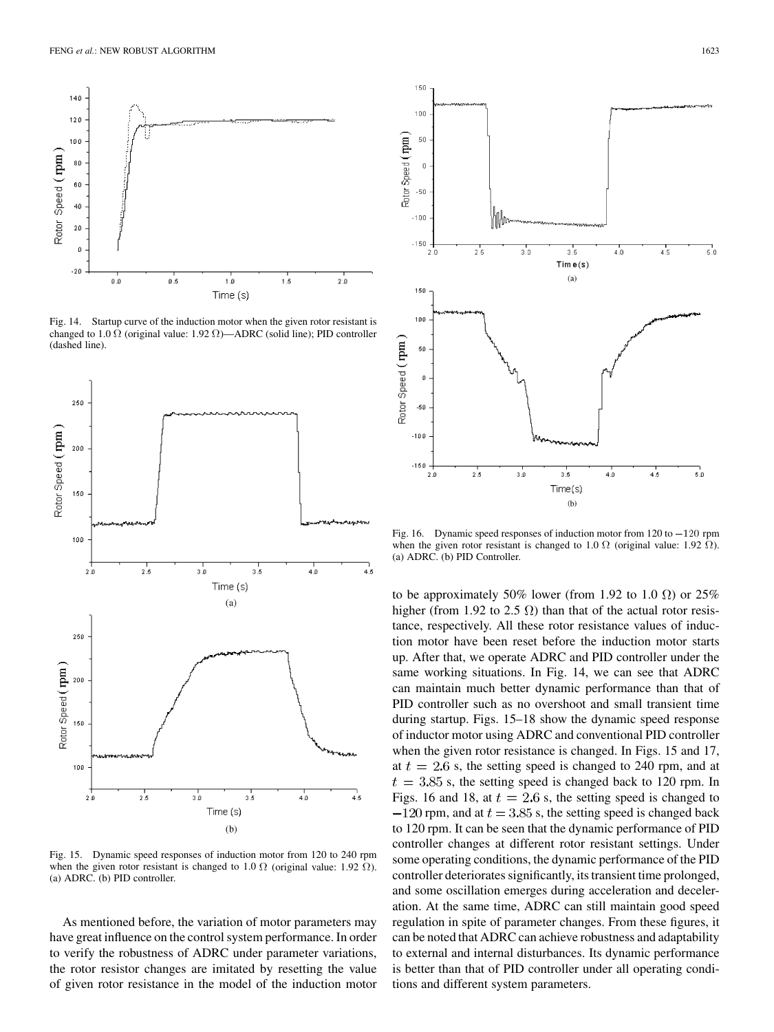

Fig. 14. Startup curve of the induction motor when the given rotor resistant is changed to 1.0  $\Omega$  (original value: 1.92  $\Omega$ )—ADRC (solid line); PID controller (dashed line).



Fig. 15. Dynamic speed responses of induction motor from 120 to 240 rpm when the given rotor resistant is changed to 1.0  $\Omega$  (original value: 1.92  $\Omega$ ). (a) ADRC. (b) PID controller.

As mentioned before, the variation of motor parameters may have great influence on the control system performance. In order to verify the robustness of ADRC under parameter variations, the rotor resistor changes are imitated by resetting the value of given rotor resistance in the model of the induction motor



when the given rotor resistant is changed to 1.0  $\Omega$  (original value: 1.92  $\Omega$ ). (a) ADRC. (b) PID Controller.

to be approximately 50% lower (from 1.92 to 1.0  $\Omega$ ) or 25% higher (from 1.92 to 2.5  $\Omega$ ) than that of the actual rotor resistance, respectively. All these rotor resistance values of induction motor have been reset before the induction motor starts up. After that, we operate ADRC and PID controller under the same working situations. In Fig. 14, we can see that ADRC can maintain much better dynamic performance than that of PID controller such as no overshoot and small transient time during startup. Figs. 15–18 show the dynamic speed response of inductor motor using ADRC and conventional PID controller when the given rotor resistance is changed. In Figs. 15 and 17, at  $t = 2.6$  s, the setting speed is changed to 240 rpm, and at  $t = 3.85$  s, the setting speed is changed back to 120 rpm. In Figs. 16 and 18, at  $t = 2.6$  s, the setting speed is changed to  $-120$  rpm, and at  $t = 3.85$  s, the setting speed is changed back to 120 rpm. It can be seen that the dynamic performance of PID controller changes at different rotor resistant settings. Under some operating conditions, the dynamic performance of the PID controller deteriorates significantly, its transient time prolonged, and some oscillation emerges during acceleration and deceleration. At the same time, ADRC can still maintain good speed regulation in spite of parameter changes. From these figures, it can be noted that ADRC can achieve robustness and adaptability to external and internal disturbances. Its dynamic performance is better than that of PID controller under all operating conditions and different system parameters.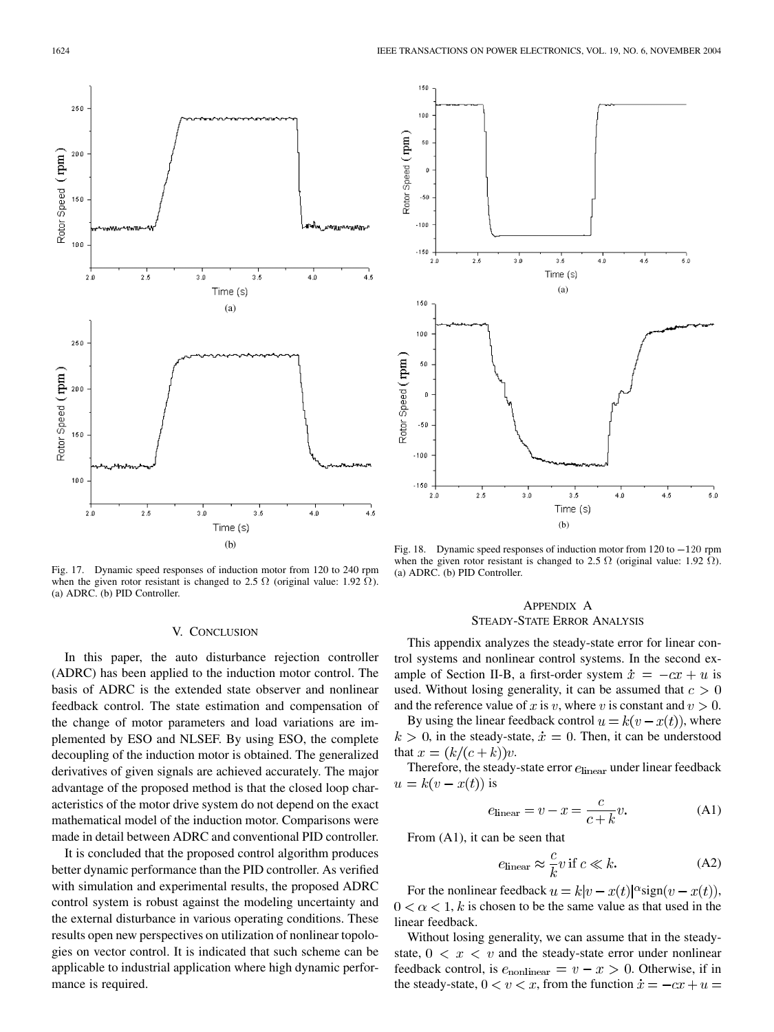

Fig. 17. Dynamic speed responses of induction motor from 120 to 240 rpm when the given rotor resistant is changed to 2.5  $\Omega$  (original value: 1.92  $\overline{\Omega}$ ). (a) ADRC. (b) PID Controller.

#### V. CONCLUSION

In this paper, the auto disturbance rejection controller (ADRC) has been applied to the induction motor control. The basis of ADRC is the extended state observer and nonlinear feedback control. The state estimation and compensation of the change of motor parameters and load variations are implemented by ESO and NLSEF. By using ESO, the complete decoupling of the induction motor is obtained. The generalized derivatives of given signals are achieved accurately. The major advantage of the proposed method is that the closed loop characteristics of the motor drive system do not depend on the exact mathematical model of the induction motor. Comparisons were made in detail between ADRC and conventional PID controller.

It is concluded that the proposed control algorithm produces better dynamic performance than the PID controller. As verified with simulation and experimental results, the proposed ADRC control system is robust against the modeling uncertainty and the external disturbance in various operating conditions. These results open new perspectives on utilization of nonlinear topologies on vector control. It is indicated that such scheme can be applicable to industrial application where high dynamic performance is required.



when the given rotor resistant is changed to 2.5  $\Omega$  (original value: 1.92  $\Omega$ ). (a) ADRC. (b) PID Controller.

# APPENDIX A STEADY-STATE ERROR ANALYSIS

This appendix analyzes the steady-state error for linear control systems and nonlinear control systems. In the second example of Section II-B, a first-order system  $\dot{x} = -cx + u$  is used. Without losing generality, it can be assumed that  $c > 0$ and the reference value of x is v, where v is constant and  $v > 0$ .

By using the linear feedback control  $u = k(v - x(t))$ , where  $k > 0$ , in the steady-state,  $\dot{x} = 0$ . Then, it can be understood that  $x = (k/(c+k))v$ .

Therefore, the steady-state error  $e_{\rm linear}$  under linear feedback  $u = k(v - x(t))$  is

$$
e_{\text{linear}} = v - x = \frac{c}{c + k}v.
$$
 (A1)

From (A1), it can be seen that

$$
e_{\text{linear}} \approx \frac{c}{k} v \text{ if } c \ll k. \tag{A2}
$$

For the nonlinear feedback  $u = k|v - x(t)|^{\alpha}$  sign  $(v - x(t))$ ,  $0 < \alpha < 1$ , k is chosen to be the same value as that used in the linear feedback.

Without losing generality, we can assume that in the steadystate,  $0 \lt x \lt v$  and the steady-state error under nonlinear feedback control, is  $e_{\text{nonlinear}} = v - x > 0$ . Otherwise, if in the steady-state,  $0 < v < x$ , from the function  $\dot{x} = -cx + u =$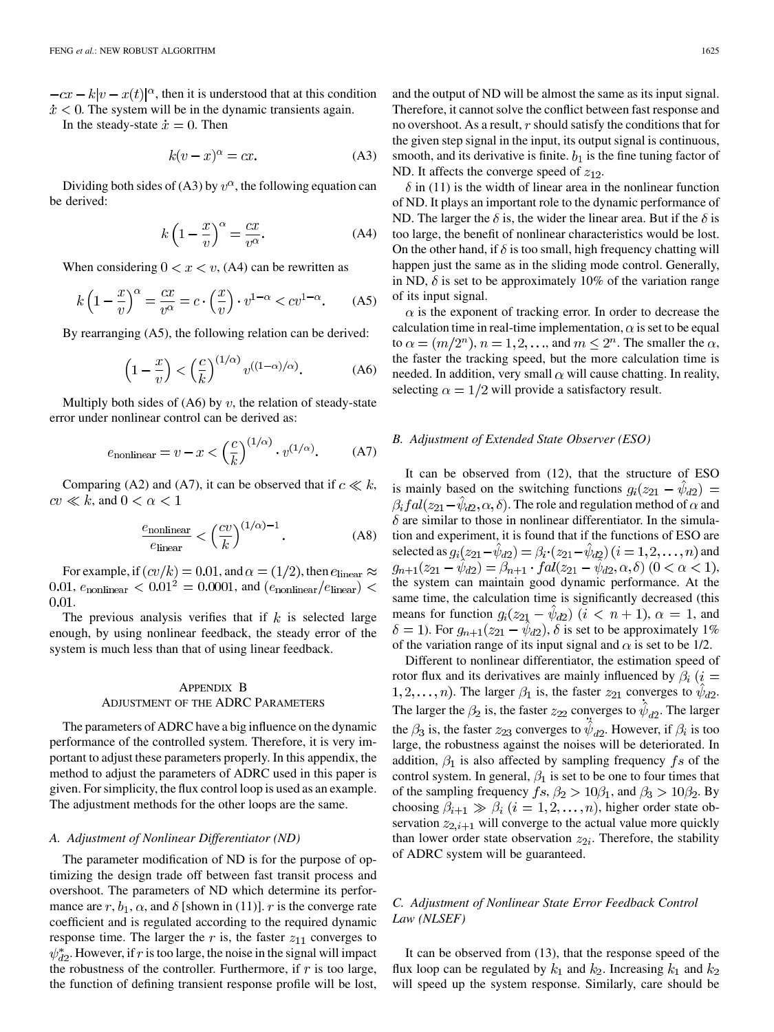$-cx - k|v - x(t)|^{\alpha}$ , then it is understood that at this condition  $\dot{x}$  < 0. The system will be in the dynamic transients again.

In the steady-state  $\dot{x} = 0$ . Then

$$
k(v - x)^{\alpha} = cx.
$$
 (A3)

Dividing both sides of (A3) by  $v^{\alpha}$ , the following equation can be derived:

$$
k\left(1-\frac{x}{v}\right)^{\alpha} = \frac{cx}{v^{\alpha}}.
$$
 (A4)

When considering  $0 < x < v$ , (A4) can be rewritten as

$$
k\left(1-\frac{x}{v}\right)^{\alpha} = \frac{cx}{v^{\alpha}} = c \cdot \left(\frac{x}{v}\right) \cdot v^{1-\alpha} < cv^{1-\alpha}.\tag{A5}
$$

By rearranging (A5), the following relation can be derived:

$$
\left(1 - \frac{x}{v}\right) < \left(\frac{c}{k}\right)^{(1/\alpha)} v^{((1-\alpha)/\alpha)}.\tag{A6}
$$

Multiply both sides of  $(46)$  by v, the relation of steady-state error under nonlinear control can be derived as:

$$
e_{\text{nonlinear}} = v - x < \left(\frac{c}{k}\right)^{(1/\alpha)} \cdot v^{(1/\alpha)}.\tag{A7}
$$

Comparing (A2) and (A7), it can be observed that if  $c \ll k$ ,  $cv \ll k$ , and  $0 < \alpha < 1$ 

$$
\frac{e_{\text{nonlinear}}}{e_{\text{linear}}} < \left(\frac{cv}{k}\right)^{(1/\alpha)-1}.\tag{A8}
$$

For example, if  $(cv/k) = 0.01$ , and  $\alpha = (1/2)$ , then  $e_{\text{linear}} \approx$ 0.01,  $e_{\text{nonlinear}} < 0.01^2 = 0.0001$ , and  $(e_{\text{nonlinear}}/e_{\text{linear}})$ 0.01.

The previous analysis verifies that if  $k$  is selected large enough, by using nonlinear feedback, the steady error of the system is much less than that of using linear feedback.

# APPENDIX B ADJUSTMENT OF THE ADRC PARAMETERS

The parameters of ADRC have a big influence on the dynamic performance of the controlled system. Therefore, it is very important to adjust these parameters properly. In this appendix, the method to adjust the parameters of ADRC used in this paper is given. For simplicity, the flux control loop is used as an example. The adjustment methods for the other loops are the same.

#### *A. Adjustment of Nonlinear Differentiator (ND)*

The parameter modification of ND is for the purpose of optimizing the design trade off between fast transit process and overshoot. The parameters of ND which determine its performance are r,  $b_1$ ,  $\alpha$ , and  $\delta$  [shown in (11)]. r is the converge rate coefficient and is regulated according to the required dynamic response time. The larger the r is, the faster  $z_{11}$  converges to  $\psi_{d2}^*$ . However, if r is too large, the noise in the signal will impact the robustness of the controller. Furthermore, if  $r$  is too large, the function of defining transient response profile will be lost,

and the output of ND will be almost the same as its input signal. Therefore, it cannot solve the conflict between fast response and no overshoot. As a result,  $r$  should satisfy the conditions that for the given step signal in the input, its output signal is continuous, smooth, and its derivative is finite.  $b_1$  is the fine tuning factor of ND. It affects the converge speed of  $z_{12}$ .

 $\delta$  in (11) is the width of linear area in the nonlinear function of ND. It plays an important role to the dynamic performance of ND. The larger the  $\delta$  is, the wider the linear area. But if the  $\delta$  is too large, the benefit of nonlinear characteristics would be lost. On the other hand, if  $\delta$  is too small, high frequency chatting will happen just the same as in the sliding mode control. Generally, in ND,  $\delta$  is set to be approximately 10% of the variation range of its input signal.

 $\alpha$  is the exponent of tracking error. In order to decrease the calculation time in real-time implementation,  $\alpha$  is set to be equal to  $\alpha = (m/2^n), n = 1, 2, \dots$ , and  $m \leq 2^n$ . The smaller the  $\alpha$ , the faster the tracking speed, but the more calculation time is needed. In addition, very small  $\alpha$  will cause chatting. In reality, selecting  $\alpha = 1/2$  will provide a satisfactory result.

#### *B. Adjustment of Extended State Observer (ESO)*

It can be observed from (12), that the structure of ESO is mainly based on the switching functions  $g_i(z_{21} - \hat{\psi}_{d2}) =$  $\beta_i f a l(z_{21}-\psi_{d2},\alpha,\delta)$ . The role and regulation method of  $\alpha$  and  $\delta$  are similar to those in nonlinear differentiator. In the simulation and experiment, it is found that if the functions of ESO are selected as  $g_i(z_{21}-\hat{\psi}_{d2}) = \beta_i \cdot (z_{21}-\hat{\psi}_{d2})(i=1,2,\ldots,n)$  and  $g_{n+1}(z_{21} - \hat{\psi}_{d2}) = \beta_{n+1} \cdot \int \mathrm{d}l(z_{21} - \hat{\psi}_{d2}, \alpha, \delta) \ (0 < \alpha < 1),$ the system can maintain good dynamic performance. At the same time, the calculation time is significantly decreased (this means for function  $g_i(z_{21} - \hat{\psi}_{d2})$   $(i < n+1)$ ,  $\alpha = 1$ , and  $\delta = 1$ ). For  $g_{n+1}(z_{21} - \hat{\psi}_{d2}), \delta$  is set to be approximately 1% of the variation range of its input signal and  $\alpha$  is set to be 1/2.

Different to nonlinear differentiator, the estimation speed of rotor flux and its derivatives are mainly influenced by  $\beta_i$  (i =  $(1, 2, \ldots, n)$ . The larger  $\beta_1$  is, the faster  $z_{21}$  converges to  $\hat{\psi}_{d2}$ . The larger the  $\beta_2$  is, the faster  $z_{22}$  converges to  $\hat{\psi}_{d2}$ . The larger the  $\beta_3$  is, the faster  $z_{23}$  converges to  $\hat{\psi}_{d2}$ . However, if  $\beta_i$  is too large, the robustness against the noises will be deteriorated. In addition,  $\beta_1$  is also affected by sampling frequency fs of the control system. In general,  $\beta_1$  is set to be one to four times that of the sampling frequency  $fs, \beta_2 > 10\beta_1$ , and  $\beta_3 > 10\beta_2$ . By choosing  $\beta_{i+1} \gg \beta_i$   $(i = 1, 2, ..., n)$ , higher order state observation  $z_{2,i+1}$  will converge to the actual value more quickly than lower order state observation  $z_{2i}$ . Therefore, the stability of ADRC system will be guaranteed.

# *C. Adjustment of Nonlinear State Error Feedback Control Law (NLSEF)*

It can be observed from (13), that the response speed of the flux loop can be regulated by  $k_1$  and  $k_2$ . Increasing  $k_1$  and  $k_2$ will speed up the system response. Similarly, care should be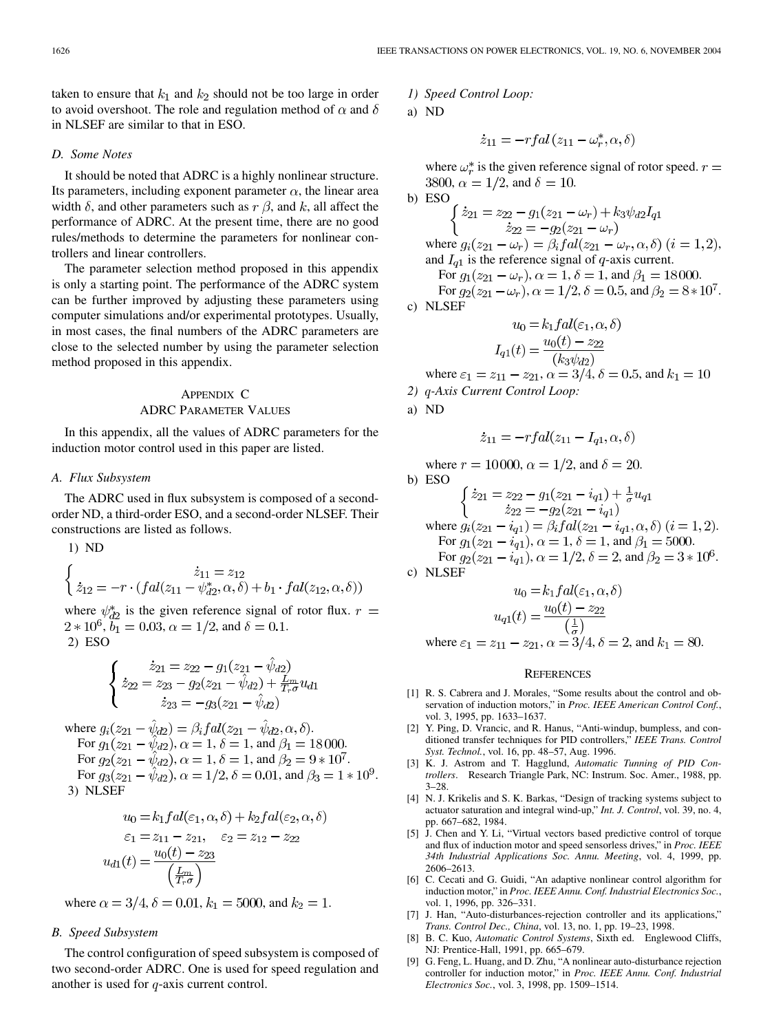<span id="page-12-0"></span>taken to ensure that  $k_1$  and  $k_2$  should not be too large in order to avoid overshoot. The role and regulation method of  $\alpha$  and  $\delta$ in NLSEF are similar to that in ESO.

#### *D. Some Notes*

It should be noted that ADRC is a highly nonlinear structure. Its parameters, including exponent parameter  $\alpha$ , the linear area width  $\delta$ , and other parameters such as  $r \beta$ , and k, all affect the performance of ADRC. At the present time, there are no good rules/methods to determine the parameters for nonlinear controllers and linear controllers.

The parameter selection method proposed in this appendix is only a starting point. The performance of the ADRC system can be further improved by adjusting these parameters using computer simulations and/or experimental prototypes. Usually, in most cases, the final numbers of the ADRC parameters are close to the selected number by using the parameter selection method proposed in this appendix.

# APPENDIX C ADRC PARAMETER VALUES

In this appendix, all the values of ADRC parameters for the induction motor control used in this paper are listed.

#### *A. Flux Subsystem*

The ADRC used in flux subsystem is composed of a secondorder ND, a third-order ESO, and a second-order NLSEF. Their constructions are listed as follows.

1) ND

$$
\begin{cases}\n\dot{z}_{11} = z_{12} \\
\dot{z}_{12} = -r \cdot (fal(z_{11} - \psi_{d2}^*, \alpha, \delta) + b_1 \cdot fal(z_{12}, \alpha, \delta))\n\end{cases}
$$

where  $\psi_{d2}^*$  is the given reference signal of rotor flux.  $r =$  $2 * 10^6$ ,  $b_1 = 0.03$ ,  $\alpha = 1/2$ , and  $\delta = 0.1$ . 2) ESO

$$
\begin{cases}\n\dot{z}_{21} = z_{22} - g_1(z_{21} - \hat{\psi}_{d2}) \\
\dot{z}_{22} = z_{23} - g_2(z_{21} - \hat{\psi}_{d2}) + \frac{L_m}{T_r \sigma} u_{d1} \\
\dot{z}_{23} = -g_3(z_{21} - \hat{\psi}_{d2})\n\end{cases}
$$

where  $g_i(z_{21} - \hat{\psi}_{d2}) = \beta_i f a l(z_{21} - \hat{\psi}_{d2}, \alpha, \delta).$ For  $g_1(z_{21} - \hat{\psi}_{d2}), \alpha = 1, \delta = 1$ , and  $\beta_1 = 18000$ . For  $g_2(z_{21} - \hat{\psi}_{d2}), \alpha = 1, \delta = 1$ , and  $\beta_2 = 9 * 10^7$ . For  $g_3(z_{21} - \hat{\psi}_{d2}), \alpha = 1/2, \delta = 0.01$ , and  $\beta_3 = 1 \times 10^9$ . 3) NLSEF

$$
u_0 = k_1 fal(\varepsilon_1, \alpha, \delta) + k_2 fal(\varepsilon_2, \alpha, \delta)
$$
  

$$
\varepsilon_1 = z_{11} - z_{21}, \quad \varepsilon_2 = z_{12} - z_{22}
$$
  

$$
u_{d1}(t) = \frac{u_0(t) - z_{23}}{\left(\frac{L_m}{T_r \sigma}\right)}
$$

where  $\alpha = 3/4$ ,  $\delta = 0.01$ ,  $k_1 = 5000$ , and  $k_2 = 1$ .

# *B. Speed Subsystem*

The control configuration of speed subsystem is composed of two second-order ADRC. One is used for speed regulation and another is used for  $q$ -axis current control.

*1) Speed Control Loop:*

a) ND

$$
\dot{z}_{11} = -r f a l (z_{11} - \omega_r^*, \alpha, \delta)
$$

where  $\omega_r^*$  is the given reference signal of rotor speed.  $r =$ 3800,  $\alpha = 1/2$ , and  $\delta = 10$ .

b) ESO  
\n
$$
\begin{cases}\n\dot{z}_{21} = z_{22} - g_1(z_{21} - \omega_r) + k_3 \psi_{d2} I_{q1} \\
\dot{z}_{22} = -g_2(z_{21} - \omega_r) \\
\text{where } g_i(z_{21} - \omega_r) = \beta_i f \, al(z_{21} - \omega_r, \alpha, \delta) \ (i = 1, 2), \\
\text{and } I_{q1} \text{ is the reference signal of } q\text{-axis current.} \\
\text{For } g_1(z_{21} - \omega_r), \alpha = 1, \delta = 1, \text{ and } \beta_1 = 18000. \\
\text{For } g_2(z_{21} - \omega_r), \alpha = 1/2, \delta = 0.5, \text{ and } \beta_2 = 8 \times 10^7.\n\end{cases}
$$
\nc) NLSEF  
\n
$$
y_0 = k_1 f \, al(\varepsilon_1, \alpha, \delta)
$$

$$
u_0 = \kappa_1 f \, d\iota(\varepsilon_1, \alpha, \sigma)
$$

$$
I_{q1}(t) = \frac{u_0(t) - z_{22}}{(k_2 \psi_{d2})}
$$

where  $\varepsilon_1 = z_{11} - z_{21}$ ,  $\alpha = 3/4$ ,  $\delta = 0.5$ , and  $k_1 = 10$ 

*2) -Axis Current Control Loop:*

a) ND

$$
\dot{z}_{11} = -r f a l (z_{11} - I_{q1}, \alpha, \delta)
$$

where  $r = 10000$ ,  $\alpha = 1/2$ , and  $\delta = 20$ . b) ESO  $\begin{cases} \dot{z}_{21} = z_{22} - g_1(z_{21} - i_{q1}) + \frac{1}{\sigma}u_{q1} \\ \dot{z}_{22} = -g_2(z_{21} - i_{q1}) \end{cases}$  where  $g_i(z_{21} - i_{q1}) = \beta_i f dl(z_{21} - i_{q1}, \alpha, \delta)$   $(i = 1, 2)$ . For  $g_1(z_{21} - i_{q1}), \alpha = 1, \delta = 1$ , and  $\beta_1 = 5000$ . For  $g_2(z_{21} - i_{q1}), \alpha = 1/2, \delta = 2$ , and  $\beta_2 = 3 * 10^6$ . c) NLSEF  $u_0 = k_1 f a l(\varepsilon_1, \alpha, \delta)$ 

$$
u_{q1}(t) = \frac{u_0(t) - z_{22}}{\left(\frac{1}{\sigma}\right)}
$$
  
where  $\varepsilon_1 = z_{11} - z_{21}$ ,  $\alpha = 3/4$ ,  $\delta = 2$ , and  $k_1 = 80$ .

#### **REFERENCES**

- [1] R. S. Cabrera and J. Morales, "Some results about the control and observation of induction motors," in *Proc. IEEE American Control Conf.*, vol. 3, 1995, pp. 1633–1637.
- [2] Y. Ping, D. Vrancic, and R. Hanus, "Anti-windup, bumpless, and conditioned transfer techniques for PID controllers," *IEEE Trans. Control Syst. Technol.*, vol. 16, pp. 48–57, Aug. 1996.
- [3] K. J. Astrom and T. Hagglund, *Automatic Tunning of PID Controllers*. Research Triangle Park, NC: Instrum. Soc. Amer., 1988, pp. 3–28.
- [4] N. J. Krikelis and S. K. Barkas, "Design of tracking systems subject to actuator saturation and integral wind-up," *Int. J. Control*, vol. 39, no. 4, pp. 667–682, 1984.
- [5] J. Chen and Y. Li, "Virtual vectors based predictive control of torque and flux of induction motor and speed sensorless drives," in *Proc. IEEE 34th Industrial Applications Soc. Annu. Meeting*, vol. 4, 1999, pp. 2606–2613.
- [6] C. Cecati and G. Guidi, "An adaptive nonlinear control algorithm for induction motor," in *Proc. IEEE Annu. Conf. Industrial Electronics Soc.*, vol. 1, 1996, pp. 326–331.
- [7] J. Han, "Auto-disturbances-rejection controller and its applications," *Trans. Control Dec., China*, vol. 13, no. 1, pp. 19–23, 1998.
- [8] B. C. Kuo, *Automatic Control Systems*, Sixth ed. Englewood Cliffs, NJ: Prentice-Hall, 1991, pp. 665–679.
- [9] G. Feng, L. Huang, and D. Zhu, "A nonlinear auto-disturbance rejection controller for induction motor," in *Proc. IEEE Annu. Conf. Industrial Electronics Soc.*, vol. 3, 1998, pp. 1509–1514.